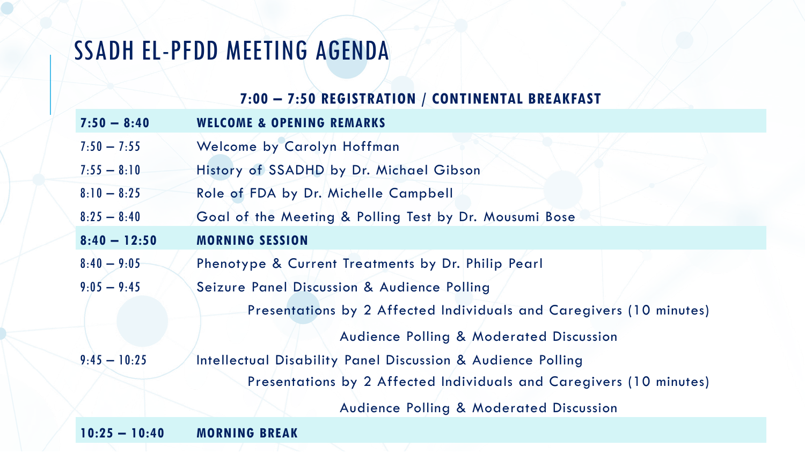## SSADH EL-PFDD MEETING AGENDA

## **7:00 – 7:50 REGISTRATION / CONTINENTAL BREAKFAST**

| $7:50 - 8:40$  | <b>WELCOME &amp; OPENING REMARKS</b>                                |
|----------------|---------------------------------------------------------------------|
| $7:50 - 7:55$  | Welcome by Carolyn Hoffman                                          |
| $7:55 - 8:10$  | History of SSADHD by Dr. Michael Gibson                             |
| $8:10 - 8:25$  | Role of FDA by Dr. Michelle Campbell                                |
| $8:25 - 8:40$  | Goal of the Meeting & Polling Test by Dr. Mousumi Bose              |
| $8:40 - 12:50$ | <b>MORNING SESSION</b>                                              |
| $8:40 - 9:05$  | Phenotype & Current Treatments by Dr. Philip Pearl                  |
| $9:05 - 9:45$  | Seizure Panel Discussion & Audience Polling                         |
|                | Presentations by 2 Affected Individuals and Caregivers (10 minutes) |
|                | <b>Audience Polling &amp; Moderated Discussion</b>                  |
| $9:45 - 10:25$ | Intellectual Disability Panel Discussion & Audience Polling         |
|                | Presentations by 2 Affected Individuals and Caregivers (10 minutes) |
|                | <b>Audience Polling &amp; Moderated Discussion</b>                  |
|                |                                                                     |

**10:25 – 10:40 MORNING BREAK**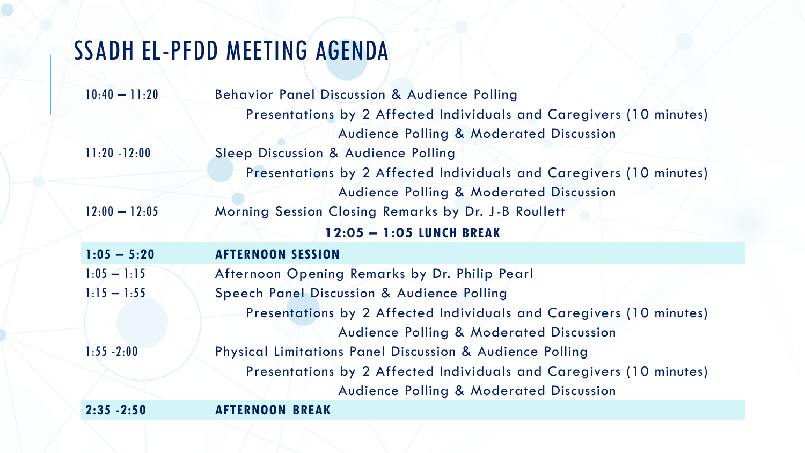## SSADH EL-PFDD MEETING AGENDA

| $10:40 - 11:20$ | <b>Behavior Panel Discussion &amp; Audience Polling</b>             |
|-----------------|---------------------------------------------------------------------|
|                 | Presentations by 2 Affected Individuals and Caregivers (10 minutes) |
|                 | <b>Audience Polling &amp; Moderated Discussion</b>                  |
| $11:20 - 12:00$ | Sleep Discussion & Audience Polling                                 |
|                 | Presentations by 2 Affected Individuals and Caregivers (10 minutes) |
|                 | <b>Audience Polling &amp; Moderated Discussion</b>                  |
| $12:00 - 12:05$ | Morning Session Closing Remarks by Dr. J-B Roullett                 |
|                 | 12:05 - 1:05 LUNCH BREAK                                            |
| $1:05 - 5:20$   | <b>AFTERNOON SESSION</b>                                            |
| $1:05 - 1:15$   | Afternoon Opening Remarks by Dr. Philip Pearl                       |
| $1:15 - 1:55$   | Speech Panel Discussion & Audience Polling                          |
|                 | Presentations by 2 Affected Individuals and Caregivers (10 minutes) |
|                 | <b>Audience Polling &amp; Moderated Discussion</b>                  |
| $1:55 - 2:00$   | Physical Limitations Panel Discussion & Audience Polling            |
|                 | Presentations by 2 Affected Individuals and Caregivers (10 minutes) |
|                 | <b>Audience Polling &amp; Moderated Discussion</b>                  |
| $2:35 - 2:50$   | <b>AFTERNOON BREAK</b>                                              |